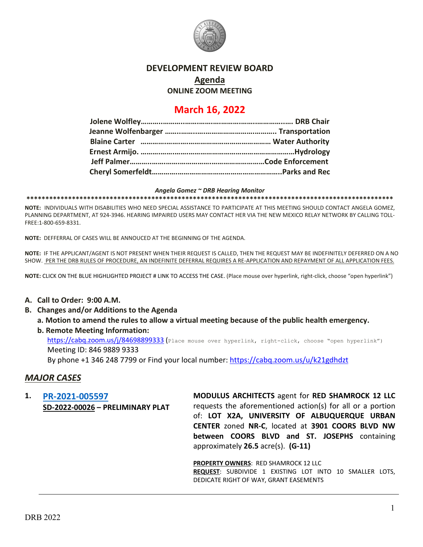

# **DEVELOPMENT REVIEW BOARD**

**Agenda**

**ONLINE ZOOM MEETING**

# **March 16, 2022**

#### *Angela Gomez ~ DRB Hearing Monitor*

**\*\*\*\*\*\*\*\*\*\*\*\*\*\*\*\*\*\*\*\*\*\*\*\*\*\*\*\*\*\*\*\*\*\*\*\*\*\*\*\*\*\*\*\*\*\*\*\*\*\*\*\*\*\*\*\*\*\*\*\*\*\*\*\*\*\*\*\*\*\*\*\*\*\*\*\*\*\*\*\*\*\*\*\*\*\*\*\*\*\*\*\*\*\*\*\*\***

**NOTE:** INDIVIDUALS WITH DISABILITIES WHO NEED SPECIAL ASSISTANCE TO PARTICIPATE AT THIS MEETING SHOULD CONTACT ANGELA GOMEZ, PLANNING DEPARTMENT, AT 924-3946. HEARING IMPAIRED USERS MAY CONTACT HER VIA THE NEW MEXICO RELAY NETWORK BY CALLING TOLL-FREE:1-800-659-8331.

**NOTE:** DEFFERRAL OF CASES WILL BE ANNOUCED AT THE BEGINNING OF THE AGENDA.

**NOTE:** IF THE APPLICANT/AGENT IS NOT PRESENT WHEN THEIR REQUEST IS CALLED, THEN THE REQUEST MAY BE INDEFINITELY DEFERRED ON A NO SHOW. PER THE DRB RULES OF PROCEDURE, AN INDEFINITE DEFERRAL REQUIRES A RE-APPLICATION AND REPAYMENT OF ALL APPLICATION FEES.

**NOTE:** CLICK ON THE BLUE HIGHLIGHTED PROJECT # LINK TO ACCESS THE CASE. (Place mouse over hyperlink, right-click, choose "open hyperlink")

- **A. Call to Order: 9:00 A.M.**
- **B. Changes and/or Additions to the Agenda**
	- **a. Motion to amend the rules to allow a virtual meeting because of the public health emergency.**
	- **b. Remote Meeting Information:**  <https://cabq.zoom.us/j/84698899333> (Place mouse over hyperlink, right-click, choose "open hyperlink") Meeting ID: 846 9889 9333 By phone +1 346 248 7799 or Find your local number[: https://cabq.zoom.us/u/k21gdhdzt](https://cabq.zoom.us/u/k21gdhdzt)

### *MAJOR CASES*

**1. [PR-2021-005597](http://data.cabq.gov/government/planning/DRB/PR-2021-005597/DRB%20Submittals/PR-2021-005597_(SD-2022-00026)_March_16_2022%20(PP)/PR-2021-005597_Mar_16_2022%20(PP).pdf) SD-2022-00026 – PRELIMINARY PLAT** **MODULUS ARCHITECTS** agent for **RED SHAMROCK 12 LLC** requests the aforementioned action(s) for all or a portion of: **LOT X2A, UNIVERSITY OF ALBUQUERQUE URBAN CENTER** zoned **NR-C**, located at **3901 COORS BLVD NW between COORS BLVD and ST. JOSEPHS** containing approximately **26.5** acre(s). **(G-11)**

**PROPERTY OWNERS**: RED SHAMROCK 12 LLC **REQUEST**: SUBDIVIDE 1 EXISTING LOT INTO 10 SMALLER LOTS, DEDICATE RIGHT OF WAY, GRANT EASEMENTS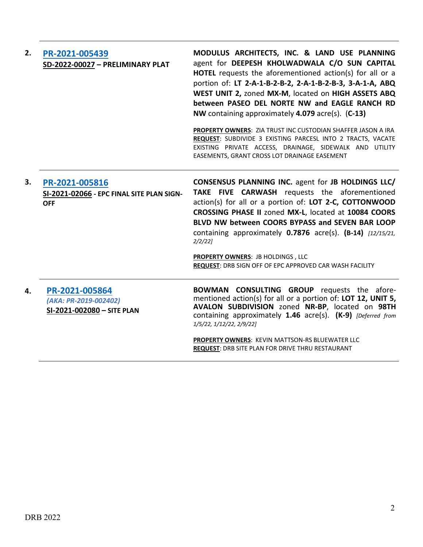| 2. | PR-2021-005439<br>SD-2022-00027 - PRELIMINARY PLAT                        | MODULUS ARCHITECTS, INC. & LAND USE PLANNING<br>agent for DEEPESH KHOLWADWALA C/O SUN CAPITAL<br>HOTEL requests the aforementioned action(s) for all or a<br>portion of: LT 2-A-1-B-2-B-2, 2-A-1-B-2-B-3, 3-A-1-A, ABQ<br>WEST UNIT 2, zoned MX-M, located on HIGH ASSETS ABQ<br>between PASEO DEL NORTE NW and EAGLE RANCH RD<br>NW containing approximately 4.079 acre(s). (C-13)<br>PROPERTY OWNERS: ZIA TRUST INC CUSTODIAN SHAFFER JASON A IRA<br>REQUEST: SUBDIVIDE 3 EXISTING PARCESL INTO 2 TRACTS, VACATE<br>EXISTING PRIVATE ACCESS, DRAINAGE, SIDEWALK AND UTILITY |
|----|---------------------------------------------------------------------------|-------------------------------------------------------------------------------------------------------------------------------------------------------------------------------------------------------------------------------------------------------------------------------------------------------------------------------------------------------------------------------------------------------------------------------------------------------------------------------------------------------------------------------------------------------------------------------|
|    |                                                                           | EASEMENTS, GRANT CROSS LOT DRAINAGE EASEMENT                                                                                                                                                                                                                                                                                                                                                                                                                                                                                                                                  |
| 3. | PR-2021-005816<br>SI-2021-02066 - EPC FINAL SITE PLAN SIGN-<br><b>OFF</b> | <b>CONSENSUS PLANNING INC. agent for JB HOLDINGS LLC/</b><br>TAKE FIVE CARWASH requests the aforementioned<br>action(s) for all or a portion of: LOT 2-C, COTTONWOOD<br>CROSSING PHASE II zoned MX-L, located at 10084 COORS<br>BLVD NW between COORS BYPASS and SEVEN BAR LOOP<br>containing approximately $0.7876$ acre(s). $(B-14)$ [12/15/21,<br>$2/2/22$ ]<br><b>PROPERTY OWNERS: JB HOLDINGS, LLC</b>                                                                                                                                                                   |
|    |                                                                           | <b>REQUEST: DRB SIGN OFF OF EPC APPROVED CAR WASH FACILITY</b>                                                                                                                                                                                                                                                                                                                                                                                                                                                                                                                |
| 4. | PR-2021-005864<br>(AKA: PR-2019-002402)<br>SI-2021-002080 - SITE PLAN     | <b>BOWMAN CONSULTING GROUP</b> requests the afore-<br>mentioned action(s) for all or a portion of: LOT 12, UNIT 5,<br>AVALON SUBDIVISION zoned NR-BP, located on 98TH<br>containing approximately 1.46 acre(s). (K-9) [Deferred from<br>1/5/22, 1/12/22, 2/9/22]                                                                                                                                                                                                                                                                                                              |
|    |                                                                           | PROPERTY OWNERS: KEVIN MATTSON-RS BLUEWATER LLC<br><b>REQUEST: DRB SITE PLAN FOR DRIVE THRU RESTAURANT</b>                                                                                                                                                                                                                                                                                                                                                                                                                                                                    |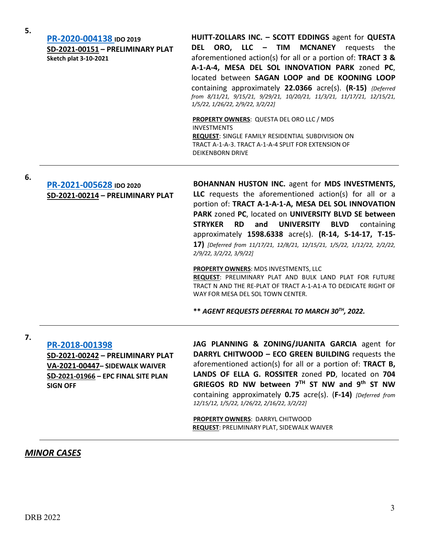| 5. | PR-2020-004138 IDO 2019<br>SD-2021-00151 - PRELIMINARY PLAT<br><b>Sketch plat 3-10-2021</b> | HUITT-ZOLLARS INC. - SCOTT EDDINGS agent for QUESTA<br>DEL ORO, LLC - TIM MCNANEY<br>the<br>requests<br>aforementioned action(s) for all or a portion of: TRACT 3 &<br>A-1-A-4, MESA DEL SOL INNOVATION PARK zoned PC,<br>located between SAGAN LOOP and DE KOONING LOOP<br>containing approximately 22.0366 acre(s). (R-15) {Deferred<br>from 8/11/21, 9/15/21, 9/29/21, 10/20/21, 11/3/21, 11/17/21, 12/15/21,<br>1/5/22, 1/26/22, 2/9/22, 3/2/22] |
|----|---------------------------------------------------------------------------------------------|------------------------------------------------------------------------------------------------------------------------------------------------------------------------------------------------------------------------------------------------------------------------------------------------------------------------------------------------------------------------------------------------------------------------------------------------------|
|    |                                                                                             | <b>PROPERTY OWNERS: QUESTA DEL ORO LLC / MDS</b><br><b>INVESTMENTS</b>                                                                                                                                                                                                                                                                                                                                                                               |
|    |                                                                                             | <b>REQUEST: SINGLE FAMILY RESIDENTIAL SUBDIVISION ON</b>                                                                                                                                                                                                                                                                                                                                                                                             |
|    |                                                                                             | TRACT A-1-A-3. TRACT A-1-A-4 SPLIT FOR EXTENSION OF                                                                                                                                                                                                                                                                                                                                                                                                  |

DEIKENBORN DRIVE

**6.**

**7.**

### **[PR-2021-005628](http://data.cabq.gov/government/planning/DRB/PR-2021-005628/DRB%20Submittals/) IDO 2020 SD-2021-00214 – PRELIMINARY PLAT**

**BOHANNAN HUSTON INC.** agent for **MDS INVESTMENTS, LLC** requests the aforementioned action(s) for all or a portion of: **TRACT A-1-A-1-A, MESA DEL SOL INNOVATION PARK** zoned **PC**, located on **UNIVERSITY BLVD SE between STRYKER RD and UNIVERSITY BLVD** containing approximately **1598.6338** acre(s). **(R-14, S-14-17, T-15- 17)** *[Deferred from 11/17/21, 12/8/21, 12/15/21, 1/5/22, 1/12/22, 2/2/22, 2/9/22, 3/2/22, 3/9/22]*

#### **PROPERTY OWNERS**: MDS INVESTMENTS, LLC

**REQUEST**: PRELIMINARY PLAT AND BULK LAND PLAT FOR FUTURE TRACT N AND THE RE-PLAT OF TRACT A-1-A1-A TO DEDICATE RIGHT OF WAY FOR MESA DEL SOL TOWN CENTER.

**\*\*** *AGENT REQUESTS DEFERRAL TO MARCH 30TH, 2022.*

# **[PR-2018-001398](http://data.cabq.gov/government/planning/DRB/PR-2018-001398/DRB%20Submittals/)**

**SD-2021-00242 – PRELIMINARY PLAT VA-2021-00447– SIDEWALK WAIVER SD-2021-01966 – EPC FINAL SITE PLAN SIGN OFF**

**JAG PLANNING & ZONING/JUANITA GARCIA** agent for **DARRYL CHITWOOD – ECO GREEN BUILDING** requests the aforementioned action(s) for all or a portion of: **TRACT B, LANDS OF ELLA G. ROSSITER** zoned **PD**, located on **704 GRIEGOS RD NW between 7TH ST NW and 9th ST NW** containing approximately **0.75** acre(s). (**F-14)** *[Deferred from 12/15/12, 1/5/22, 1/26/22, 2/16/22, 3/2/22]*

**PROPERTY OWNERS**: DARRYL CHITWOOD **REQUEST**: PRELIMINARY PLAT, SIDEWALK WAIVER

## *MINOR CASES*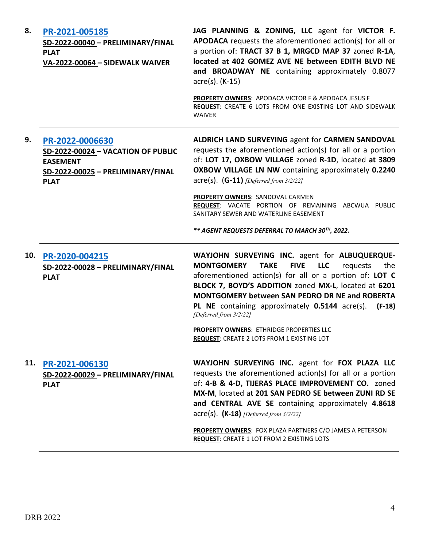| 8.  | PR-2021-005185<br>SD-2022-00040 - PRELIMINARY/FINAL<br><b>PLAT</b><br>VA-2022-00064 - SIDEWALK WAIVER                        | JAG PLANNING & ZONING, LLC agent for VICTOR F.<br>APODACA requests the aforementioned action(s) for all or<br>a portion of: TRACT 37 B 1, MRGCD MAP 37 zoned R-1A,<br>located at 402 GOMEZ AVE NE between EDITH BLVD NE<br>and BROADWAY NE containing approximately 0.8077<br>$\arccos(5)$ . (K-15)                                                                                                       |
|-----|------------------------------------------------------------------------------------------------------------------------------|-----------------------------------------------------------------------------------------------------------------------------------------------------------------------------------------------------------------------------------------------------------------------------------------------------------------------------------------------------------------------------------------------------------|
|     |                                                                                                                              | PROPERTY OWNERS: APODACA VICTOR F & APODACA JESUS F<br>REQUEST: CREATE 6 LOTS FROM ONE EXISTING LOT AND SIDEWALK<br><b>WAIVER</b>                                                                                                                                                                                                                                                                         |
| 9.  | PR-2022-0006630<br>SD-2022-00024 - VACATION OF PUBLIC<br><b>EASEMENT</b><br>SD-2022-00025 - PRELIMINARY/FINAL<br><b>PLAT</b> | ALDRICH LAND SURVEYING agent for CARMEN SANDOVAL<br>requests the aforementioned action(s) for all or a portion<br>of: LOT 17, OXBOW VILLAGE zoned R-1D, located at 3809<br><b>OXBOW VILLAGE LN NW containing approximately 0.2240</b><br>$\text{acre}(s)$ . $(G-11)$ [Deferred from 3/2/22]                                                                                                               |
|     |                                                                                                                              | PROPERTY OWNERS: SANDOVAL CARMEN<br>REQUEST: VACATE PORTION OF REMAINING ABCWUA PUBLIC<br>SANITARY SEWER AND WATERLINE EASEMENT                                                                                                                                                                                                                                                                           |
|     |                                                                                                                              | ** AGENT REQUESTS DEFERRAL TO MARCH 30TH, 2022.                                                                                                                                                                                                                                                                                                                                                           |
| 10. | PR-2020-004215<br>SD-2022-00028 - PRELIMINARY/FINAL<br><b>PLAT</b>                                                           | WAYJOHN SURVEYING INC. agent for ALBUQUERQUE-<br><b>TAKE</b><br><b>FIVE</b><br><b>LLC</b><br><b>MONTGOMERY</b><br>the<br>requests<br>aforementioned action(s) for all or a portion of: LOT C<br>BLOCK 7, BOYD'S ADDITION zoned MX-L, located at 6201<br><b>MONTGOMERY between SAN PEDRO DR NE and ROBERTA</b><br>PL NE containing approximately 0.5144 acre(s).<br>$(F-18)$<br>[Deferred from 3/2/22]     |
|     |                                                                                                                              | PROPERTY OWNERS: ETHRIDGE PROPERTIES LLC<br>REQUEST: CREATE 2 LOTS FROM 1 EXISTING LOT                                                                                                                                                                                                                                                                                                                    |
| 11. | PR-2021-006130<br>SD-2022-00029 - PRELIMINARY/FINAL<br><b>PLAT</b>                                                           | WAYJOHN SURVEYING INC. agent for FOX PLAZA LLC<br>requests the aforementioned action(s) for all or a portion<br>of: 4-B & 4-D, TIJERAS PLACE IMPROVEMENT CO. zoned<br>MX-M, located at 201 SAN PEDRO SE between ZUNI RD SE<br>and CENTRAL AVE SE containing approximately 4.8618<br>$\textsf{acre}(s)$ . (K-18) <i>[Deferred from 3/2/22]</i><br>PROPERTY OWNERS: FOX PLAZA PARTNERS C/O JAMES A PETERSON |
|     |                                                                                                                              | <b>REQUEST: CREATE 1 LOT FROM 2 EXISTING LOTS</b>                                                                                                                                                                                                                                                                                                                                                         |